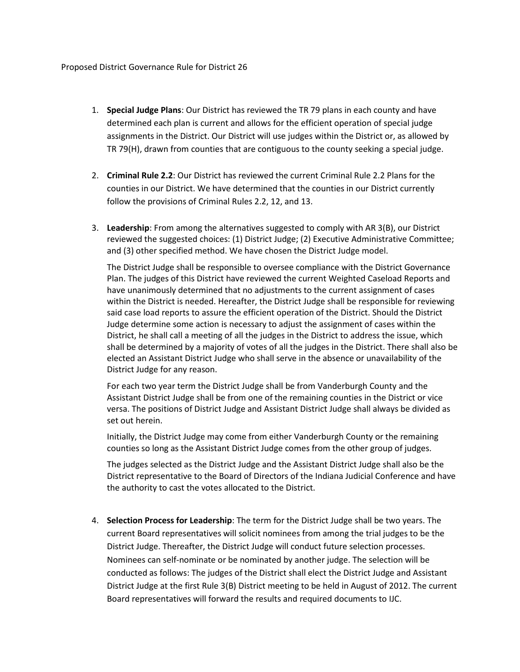- 1. **Special Judge Plans**: Our District has reviewed the TR 79 plans in each county and have determined each plan is current and allows for the efficient operation of special judge assignments in the District. Our District will use judges within the District or, as allowed by TR 79(H), drawn from counties that are contiguous to the county seeking a special judge.
- 2. **Criminal Rule 2.2**: Our District has reviewed the current Criminal Rule 2.2 Plans for the counties in our District. We have determined that the counties in our District currently follow the provisions of Criminal Rules 2.2, 12, and 13.
- 3. **Leadership**: From among the alternatives suggested to comply with AR 3(B), our District reviewed the suggested choices: (1) District Judge; (2) Executive Administrative Committee; and (3) other specified method. We have chosen the District Judge model.

The District Judge shall be responsible to oversee compliance with the District Governance Plan. The judges of this District have reviewed the current Weighted Caseload Reports and have unanimously determined that no adjustments to the current assignment of cases within the District is needed. Hereafter, the District Judge shall be responsible for reviewing said case load reports to assure the efficient operation of the District. Should the District Judge determine some action is necessary to adjust the assignment of cases within the District, he shall call a meeting of all the judges in the District to address the issue, which shall be determined by a majority of votes of all the judges in the District. There shall also be elected an Assistant District Judge who shall serve in the absence or unavailability of the District Judge for any reason.

For each two year term the District Judge shall be from Vanderburgh County and the Assistant District Judge shall be from one of the remaining counties in the District or vice versa. The positions of District Judge and Assistant District Judge shall always be divided as set out herein.

Initially, the District Judge may come from either Vanderburgh County or the remaining counties so long as the Assistant District Judge comes from the other group of judges.

The judges selected as the District Judge and the Assistant District Judge shall also be the District representative to the Board of Directors of the Indiana Judicial Conference and have the authority to cast the votes allocated to the District.

4. **Selection Process for Leadership**: The term for the District Judge shall be two years. The current Board representatives will solicit nominees from among the trial judges to be the District Judge. Thereafter, the District Judge will conduct future selection processes. Nominees can self-nominate or be nominated by another judge. The selection will be conducted as follows: The judges of the District shall elect the District Judge and Assistant District Judge at the first Rule 3(B) District meeting to be held in August of 2012. The current Board representatives will forward the results and required documents to IJC.